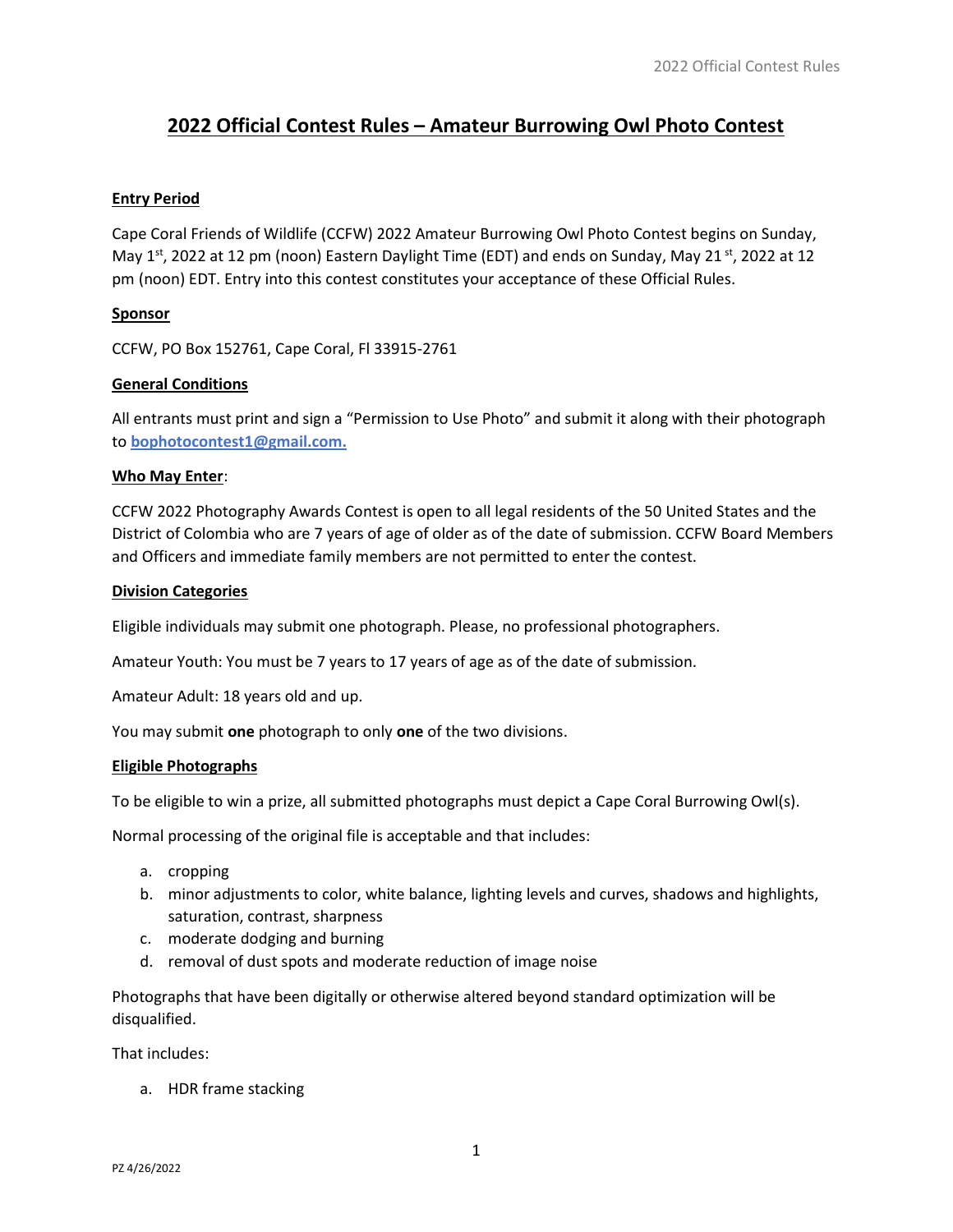# 2022 Official Contest Rules – Amateur Burrowing Owl Photo Contest

# Entry Period

Cape Coral Friends of Wildlife (CCFW) 2022 Amateur Burrowing Owl Photo Contest begins on Sunday, May  $1^{st}$ , 2022 at 12 pm (noon) Eastern Daylight Time (EDT) and ends on Sunday, May 21  $st$ , 2022 at 12 pm (noon) EDT. Entry into this contest constitutes your acceptance of these Official Rules.

# Sponsor

CCFW, PO Box 152761, Cape Coral, Fl 33915-2761

# General Conditions

All entrants must print and sign a "Permission to Use Photo" and submit it along with their photograph to bophotocontest1@gmail.com.

# Who May Enter:

CCFW 2022 Photography Awards Contest is open to all legal residents of the 50 United States and the District of Colombia who are 7 years of age of older as of the date of submission. CCFW Board Members and Officers and immediate family members are not permitted to enter the contest.

#### Division Categories

Eligible individuals may submit one photograph. Please, no professional photographers.

Amateur Youth: You must be 7 years to 17 years of age as of the date of submission.

Amateur Adult: 18 years old and up.

You may submit one photograph to only one of the two divisions.

#### Eligible Photographs

To be eligible to win a prize, all submitted photographs must depict a Cape Coral Burrowing Owl(s).

Normal processing of the original file is acceptable and that includes:

- a. cropping
- b. minor adjustments to color, white balance, lighting levels and curves, shadows and highlights, saturation, contrast, sharpness
- c. moderate dodging and burning
- d. removal of dust spots and moderate reduction of image noise

Photographs that have been digitally or otherwise altered beyond standard optimization will be disqualified.

That includes:

a. HDR frame stacking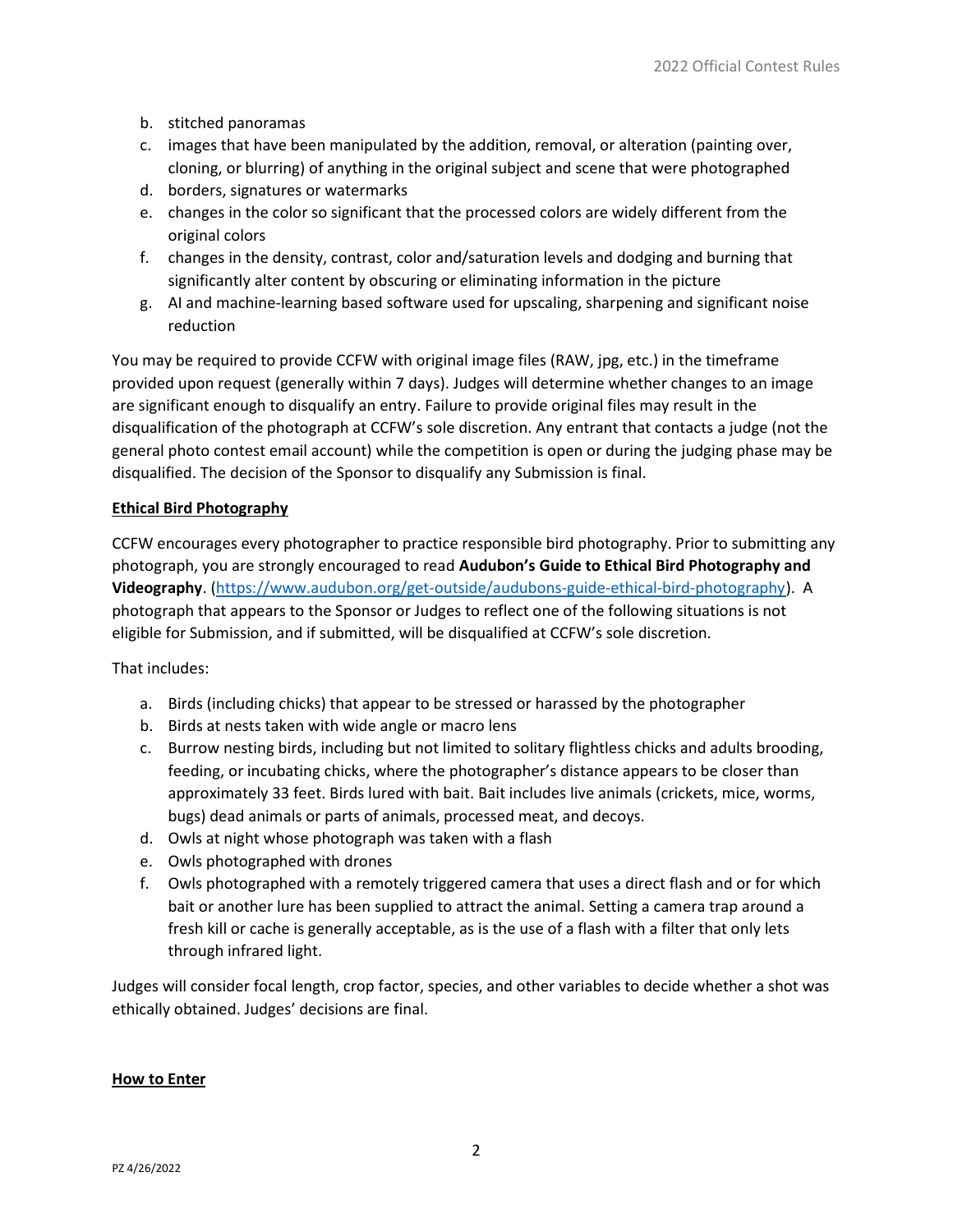- b. stitched panoramas
- c. images that have been manipulated by the addition, removal, or alteration (painting over, cloning, or blurring) of anything in the original subject and scene that were photographed
- d. borders, signatures or watermarks
- e. changes in the color so significant that the processed colors are widely different from the original colors
- f. changes in the density, contrast, color and/saturation levels and dodging and burning that significantly alter content by obscuring or eliminating information in the picture
- g. AI and machine-learning based software used for upscaling, sharpening and significant noise reduction

You may be required to provide CCFW with original image files (RAW, jpg, etc.) in the timeframe provided upon request (generally within 7 days). Judges will determine whether changes to an image are significant enough to disqualify an entry. Failure to provide original files may result in the disqualification of the photograph at CCFW's sole discretion. Any entrant that contacts a judge (not the general photo contest email account) while the competition is open or during the judging phase may be disqualified. The decision of the Sponsor to disqualify any Submission is final.

# Ethical Bird Photography

CCFW encourages every photographer to practice responsible bird photography. Prior to submitting any photograph, you are strongly encouraged to read Audubon's Guide to Ethical Bird Photography and Videography. (https://www.audubon.org/get-outside/audubons-guide-ethical-bird-photography). A photograph that appears to the Sponsor or Judges to reflect one of the following situations is not eligible for Submission, and if submitted, will be disqualified at CCFW's sole discretion.

That includes:

- a. Birds (including chicks) that appear to be stressed or harassed by the photographer
- b. Birds at nests taken with wide angle or macro lens
- c. Burrow nesting birds, including but not limited to solitary flightless chicks and adults brooding, feeding, or incubating chicks, where the photographer's distance appears to be closer than approximately 33 feet. Birds lured with bait. Bait includes live animals (crickets, mice, worms, bugs) dead animals or parts of animals, processed meat, and decoys.
- d. Owls at night whose photograph was taken with a flash
- e. Owls photographed with drones
- f. Owls photographed with a remotely triggered camera that uses a direct flash and or for which bait or another lure has been supplied to attract the animal. Setting a camera trap around a fresh kill or cache is generally acceptable, as is the use of a flash with a filter that only lets through infrared light.

Judges will consider focal length, crop factor, species, and other variables to decide whether a shot was ethically obtained. Judges' decisions are final.

#### How to Enter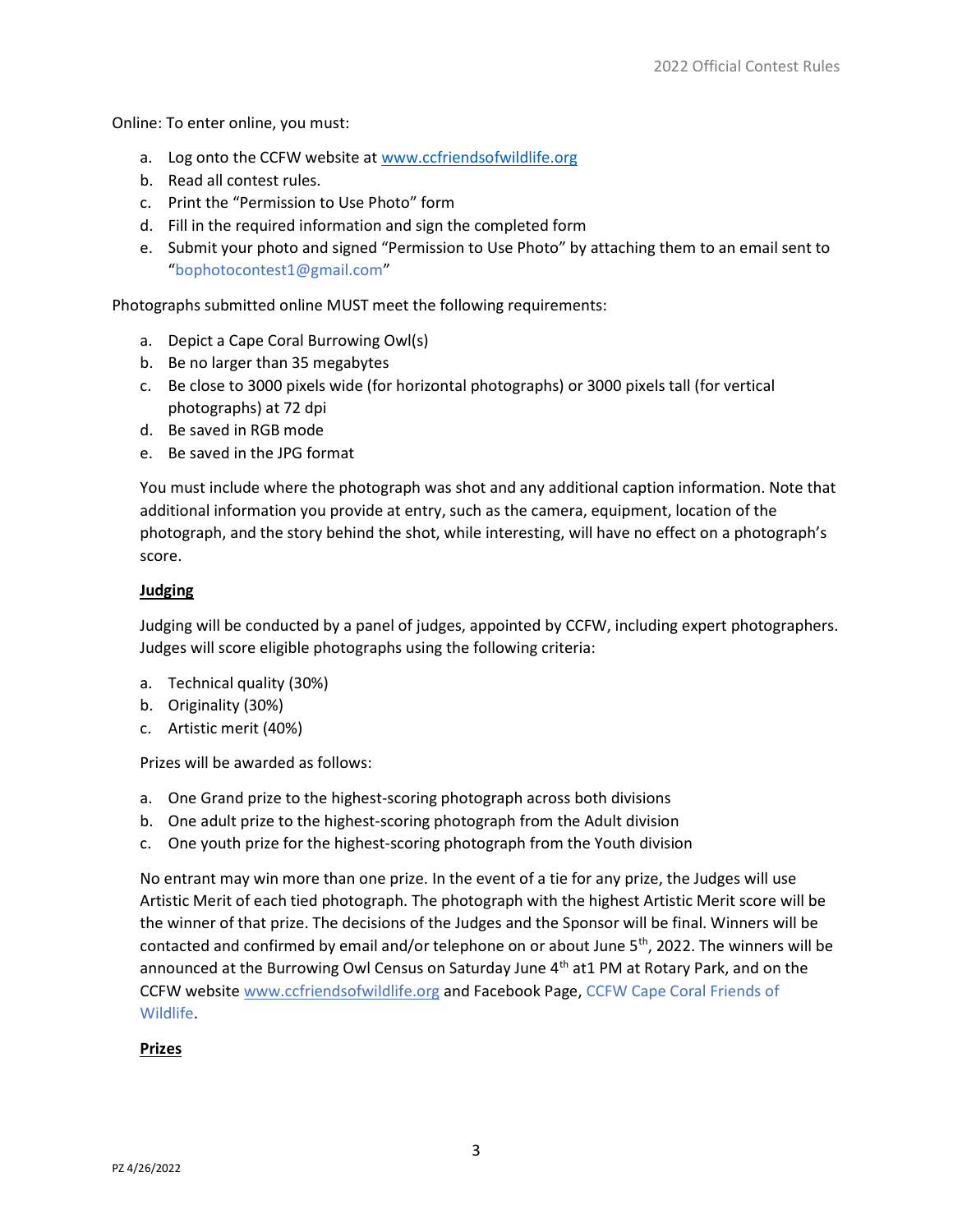Online: To enter online, you must:

- a. Log onto the CCFW website at www.ccfriendsofwildlife.org
- b. Read all contest rules.
- c. Print the "Permission to Use Photo" form
- d. Fill in the required information and sign the completed form
- e. Submit your photo and signed "Permission to Use Photo" by attaching them to an email sent to "bophotocontest1@gmail.com"

Photographs submitted online MUST meet the following requirements:

- a. Depict a Cape Coral Burrowing Owl(s)
- b. Be no larger than 35 megabytes
- c. Be close to 3000 pixels wide (for horizontal photographs) or 3000 pixels tall (for vertical photographs) at 72 dpi
- d. Be saved in RGB mode
- e. Be saved in the JPG format

You must include where the photograph was shot and any additional caption information. Note that additional information you provide at entry, such as the camera, equipment, location of the photograph, and the story behind the shot, while interesting, will have no effect on a photograph's score.

# **Judging**

Judging will be conducted by a panel of judges, appointed by CCFW, including expert photographers. Judges will score eligible photographs using the following criteria:

- a. Technical quality (30%)
- b. Originality (30%)
- c. Artistic merit (40%)

Prizes will be awarded as follows:

- a. One Grand prize to the highest-scoring photograph across both divisions
- b. One adult prize to the highest-scoring photograph from the Adult division
- c. One youth prize for the highest-scoring photograph from the Youth division

No entrant may win more than one prize. In the event of a tie for any prize, the Judges will use Artistic Merit of each tied photograph. The photograph with the highest Artistic Merit score will be the winner of that prize. The decisions of the Judges and the Sponsor will be final. Winners will be contacted and confirmed by email and/or telephone on or about June  $5<sup>th</sup>$ , 2022. The winners will be announced at the Burrowing Owl Census on Saturday June 4<sup>th</sup> at1 PM at Rotary Park, and on the CCFW website www.ccfriendsofwildlife.org and Facebook Page, CCFW Cape Coral Friends of Wildlife.

# Prizes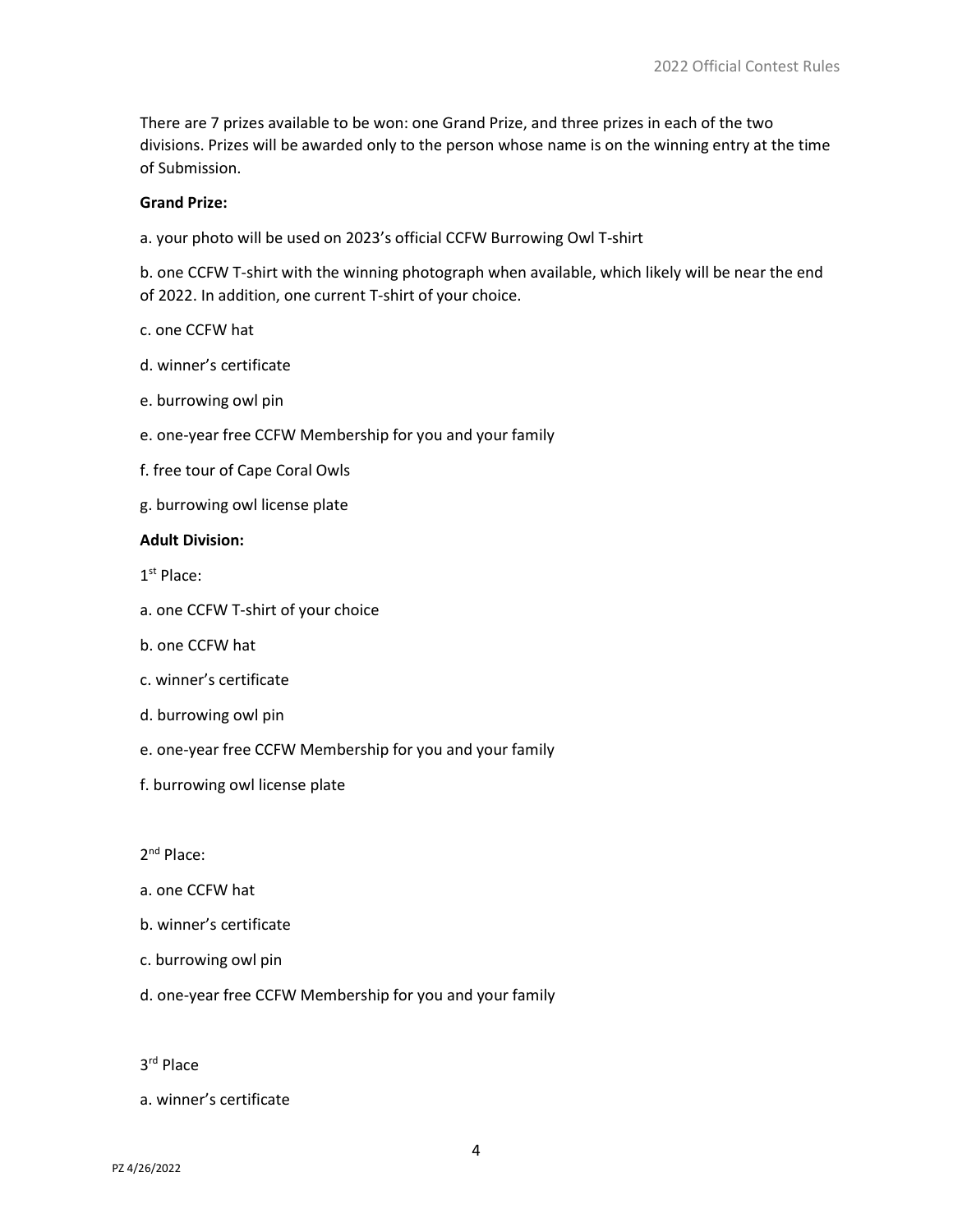There are 7 prizes available to be won: one Grand Prize, and three prizes in each of the two divisions. Prizes will be awarded only to the person whose name is on the winning entry at the time of Submission.

# Grand Prize:

a. your photo will be used on 2023's official CCFW Burrowing Owl T-shirt

b. one CCFW T-shirt with the winning photograph when available, which likely will be near the end of 2022. In addition, one current T-shirt of your choice.

#### c. one CCFW hat

- d. winner's certificate
- e. burrowing owl pin
- e. one-year free CCFW Membership for you and your family
- f. free tour of Cape Coral Owls
- g. burrowing owl license plate

#### Adult Division:

1<sup>st</sup> Place:

- a. one CCFW T-shirt of your choice
- b. one CCFW hat
- c. winner's certificate
- d. burrowing owl pin
- e. one-year free CCFW Membership for you and your family
- f. burrowing owl license plate

# 2<sup>nd</sup> Place:

- a. one CCFW hat
- b. winner's certificate
- c. burrowing owl pin
- d. one-year free CCFW Membership for you and your family
- 3 rd Place
- a. winner's certificate